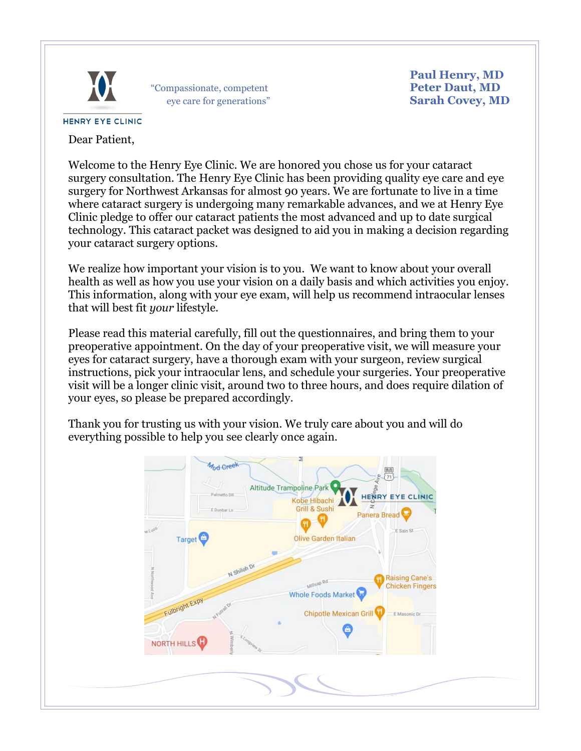

"Compassionate, competent **Peter Daut, MD** eye care for generations" **Sarah Covey, MD**

 **Paul Henry, MD**<br>**Peter Daut, MD** 

## **HENRY EYE CLINIC**

Dear Patient,

Welcome to the Henry Eye Clinic. We are honored you chose us for your cataract surgery consultation. The Henry Eye Clinic has been providing quality eye care and eye surgery for Northwest Arkansas for almost 90 years. We are fortunate to live in a time where cataract surgery is undergoing many remarkable advances, and we at Henry Eye Clinic pledge to offer our cataract patients the most advanced and up to date surgical technology. This cataract packet was designed to aid you in making a decision regarding your cataract surgery options.

We realize how important your vision is to you. We want to know about your overall health as well as how you use your vision on a daily basis and which activities you enjoy. This information, along with your eye exam, will help us recommend intraocular lenses that will best fit *your* lifestyle.

Please read this material carefully, fill out the questionnaires, and bring them to your preoperative appointment. On the day of your preoperative visit, we will measure your eyes for cataract surgery, have a thorough exam with your surgeon, review surgical instructions, pick your intraocular lens, and schedule your surgeries. Your preoperative visit will be a longer clinic visit, around two to three hours, and does require dilation of your eyes, so please be prepared accordingly.

Thank you for trusting us with your vision. We truly care about you and will do everything possible to help you see clearly once again.

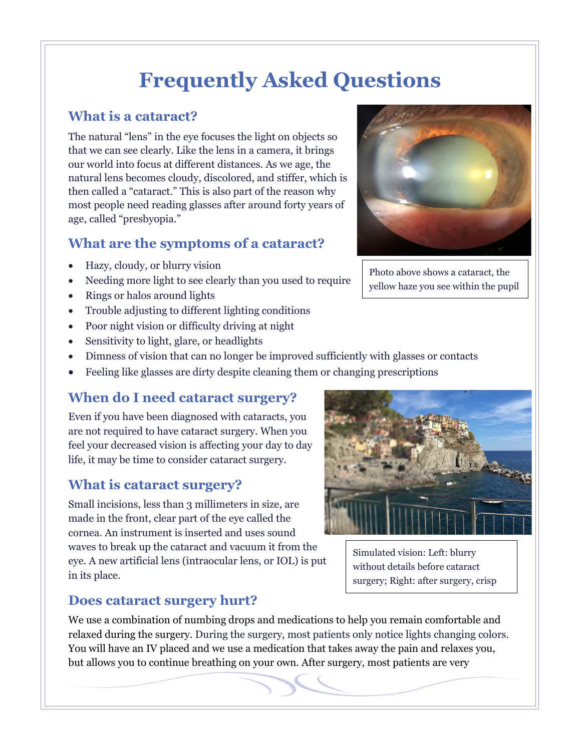# **Frequently Asked Questions**

### **What is a cataract?**

The natural "lens" in the eye focuses the light on objects so that we can see clearly. Like the lens in a camera, it brings our world into focus at different distances. As we age, the natural lens becomes cloudy, discolored, and stiffer, which is then called a "cataract." This is also part of the reason why most people need reading glasses after around forty years of age, called "presbyopia."

### **What are the symptoms of a cataract?**

- Hazy, cloudy, or blurry vision
- Needing more light to see clearly than you used to require
- Rings or halos around lights
- Trouble adjusting to different lighting conditions
- Poor night vision or difficulty driving at night
- Sensitivity to light, glare, or headlights
- Dimness of vision that can no longer be improved sufficiently with glasses or contacts
- Feeling like glasses are dirty despite cleaning them or changing prescriptions

### **When do I need cataract surgery?**

Even if you have been diagnosed with cataracts, you are not required to have cataract surgery. When you feel your decreased vision is affecting your day to day life, it may be time to consider cataract surgery.

### **What is cataract surgery?**

Small incisions, less than 3 millimeters in size, are made in the front, clear part of the eye called the cornea. An instrument is inserted and uses sound waves to break up the cataract and vacuum it from the eye. A new artificial lens (intraocular lens, or IOL) is put in its place.

# AC ASSESSED

Simulated vision: Left: blurry without details before cataract surgery; Right: after surgery, crisp

### **Does cataract surgery hurt?**

We use a combination of numbing drops and medications to help you remain comfortable and relaxed during the surgery. During the surgery, most patients only notice lights changing colors. You will have an IV placed and we use a medication that takes away the pain and relaxes you, but allows you to continue breathing on your own. After surgery, most patients are very

Photo above shows a cataract, the

yellow haze you see within the pupil

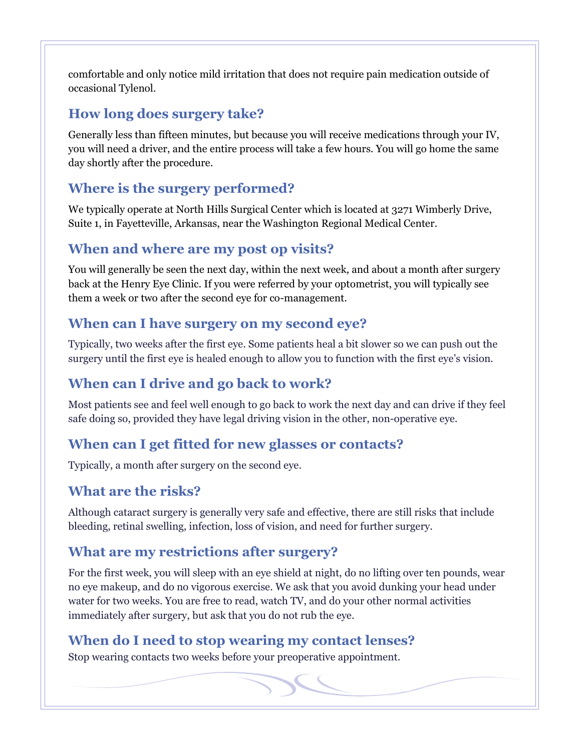comfortable and only notice mild irritation that does not require pain medication outside of occasional Tylenol.

### **How long does surgery take?**

Generally less than fifteen minutes, but because you will receive medications through your IV, you will need a driver, and the entire process will take a few hours. You will go home the same day shortly after the procedure.

### **Where is the surgery performed?**

We typically operate at North Hills Surgical Center which is located at 3271 Wimberly Drive, Suite 1, in Fayetteville, Arkansas, near the Washington Regional Medical Center.

### **When and where are my post op visits?**

You will generally be seen the next day, within the next week, and about a month after surgery back at the Henry Eye Clinic. If you were referred by your optometrist, you will typically see them a week or two after the second eye for co-management.

### **When can I have surgery on my second eye?**

Typically, two weeks after the first eye. Some patients heal a bit slower so we can push out the surgery until the first eye is healed enough to allow you to function with the first eye's vision.

### **When can I drive and go back to work?**

Most patients see and feel well enough to go back to work the next day and can drive if they feel safe doing so, provided they have legal driving vision in the other, non-operative eye.

### **When can I get fitted for new glasses or contacts?**

Typically, a month after surgery on the second eye.

### **What are the risks?**

Although cataract surgery is generally very safe and effective, there are still risks that include bleeding, retinal swelling, infection, loss of vision, and need for further surgery.

### **What are my restrictions after surgery?**

For the first week, you will sleep with an eye shield at night, do no lifting over ten pounds, wear no eye makeup, and do no vigorous exercise. We ask that you avoid dunking your head under water for two weeks. You are free to read, watch TV, and do your other normal activities immediately after surgery, but ask that you do not rub the eye.

### **When do I need to stop wearing my contact lenses?**

Stop wearing contacts two weeks before your preoperative appointment.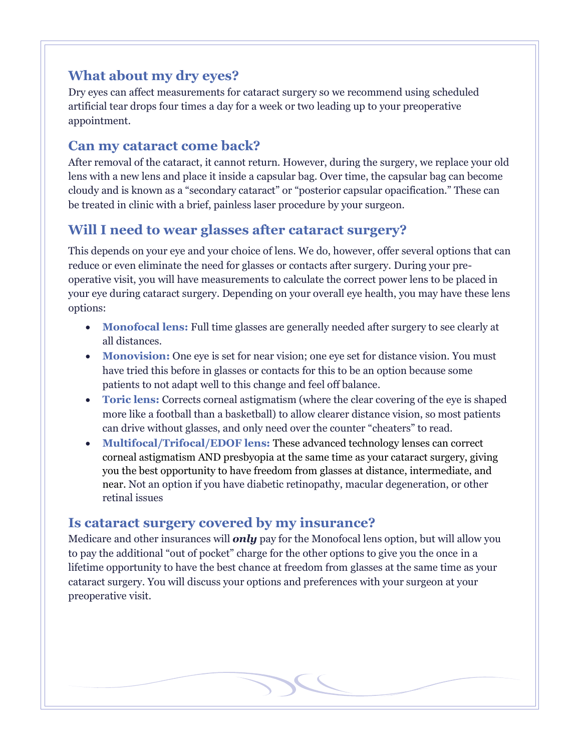### **What about my dry eyes?**

Dry eyes can affect measurements for cataract surgery so we recommend using scheduled artificial tear drops four times a day for a week or two leading up to your preoperative appointment.

### **Can my cataract come back?**

After removal of the cataract, it cannot return. However, during the surgery, we replace your old lens with a new lens and place it inside a capsular bag. Over time, the capsular bag can become cloudy and is known as a "secondary cataract" or "posterior capsular opacification." These can be treated in clinic with a brief, painless laser procedure by your surgeon.

### **Will I need to wear glasses after cataract surgery?**

This depends on your eye and your choice of lens. We do, however, offer several options that can reduce or even eliminate the need for glasses or contacts after surgery. During your preoperative visit, you will have measurements to calculate the correct power lens to be placed in your eye during cataract surgery. Depending on your overall eye health, you may have these lens options:

- **Monofocal lens:** Full time glasses are generally needed after surgery to see clearly at all distances.
- **Monovision:** One eye is set for near vision; one eye set for distance vision. You must have tried this before in glasses or contacts for this to be an option because some patients to not adapt well to this change and feel off balance.
- **Toric lens:** Corrects corneal astigmatism (where the clear covering of the eye is shaped more like a football than a basketball) to allow clearer distance vision, so most patients can drive without glasses, and only need over the counter "cheaters" to read.
- **Multifocal/Trifocal/EDOF lens:** These advanced technology lenses can correct corneal astigmatism AND presbyopia at the same time as your cataract surgery, giving you the best opportunity to have freedom from glasses at distance, intermediate, and near. Not an option if you have diabetic retinopathy, macular degeneration, or other retinal issues

### **Is cataract surgery covered by my insurance?**

Medicare and other insurances will *only* pay for the Monofocal lens option, but will allow you to pay the additional "out of pocket" charge for the other options to give you the once in a lifetime opportunity to have the best chance at freedom from glasses at the same time as your cataract surgery. You will discuss your options and preferences with your surgeon at your preoperative visit.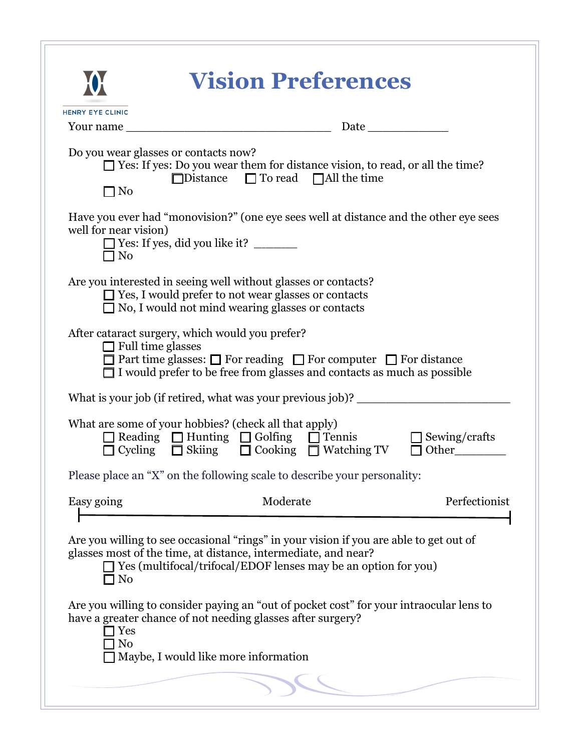| Do you wear glasses or contacts now?<br>$\Box$ No                           | $\Box$ Yes: If yes: Do you wear them for distance vision, to read, or all the time?<br>$\Box$ Distance $\Box$ To read $\Box$ All the time                                                                                                                                                                                                                                                   |                               |
|-----------------------------------------------------------------------------|---------------------------------------------------------------------------------------------------------------------------------------------------------------------------------------------------------------------------------------------------------------------------------------------------------------------------------------------------------------------------------------------|-------------------------------|
| well for near vision)<br>∃ No                                               | Have you ever had "monovision?" (one eye sees well at distance and the other eye sees                                                                                                                                                                                                                                                                                                       |                               |
|                                                                             | Are you interested in seeing well without glasses or contacts?<br>$\Box$ Yes, I would prefer to not wear glasses or contacts<br>$\Box$ No, I would not mind wearing glasses or contacts                                                                                                                                                                                                     |                               |
| After cataract surgery, which would you prefer?<br>$\Box$ Full time glasses | $\Box$ Part time glasses: $\Box$ For reading $\Box$ For computer $\Box$ For distance<br>$\Box$ I would prefer to be free from glasses and contacts as much as possible                                                                                                                                                                                                                      |                               |
|                                                                             | What is your job (if retired, what was your previous job)? ______________________                                                                                                                                                                                                                                                                                                           |                               |
|                                                                             | What are some of your hobbies? (check all that apply)<br>$\Box$ Reading $\Box$ Hunting $\Box$ Golfing $\Box$ Tennis<br>Cycling $\Box$ Skiing $\Box$ Cooking $\Box$ Watching TV                                                                                                                                                                                                              | $\Box$ Sewing/crafts<br>Other |
|                                                                             | Please place an "X" on the following scale to describe your personality:                                                                                                                                                                                                                                                                                                                    |                               |
| Easy going                                                                  | Moderate                                                                                                                                                                                                                                                                                                                                                                                    | Perfectionist                 |
| $\Box$ No<br>Yes<br>No                                                      | Are you willing to see occasional "rings" in your vision if you are able to get out of<br>glasses most of the time, at distance, intermediate, and near?<br>$\Box$ Yes (multifocal/trifocal/EDOF lenses may be an option for you)<br>Are you willing to consider paying an "out of pocket cost" for your intraocular lens to<br>have a greater chance of not needing glasses after surgery? |                               |